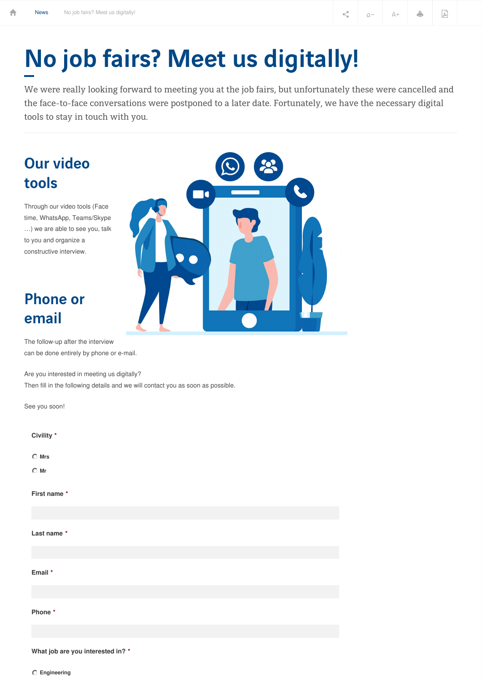# No job fairs? Meet us digitally!

70

We were really looking forward to meeting you at the job fairs, but unfortunately these were cancelled and the face-to-face conversations were postponed to a later date. Fortunately, we have the necessary digital tools to stay in touch with you.

## Our video tools

Through our video tools (Face time, WhatsApp, Teams/Skype …) we are able to see you, talk to you and organize a constructive interview.

### Phone or email

The follow-up after the interview can be done entirely by phone or e-mail.

Are you interested in meeting us digitally? Then fill in the following details and we will contact you as soon as possible.

**What job are you interested in? \***

**Engineering**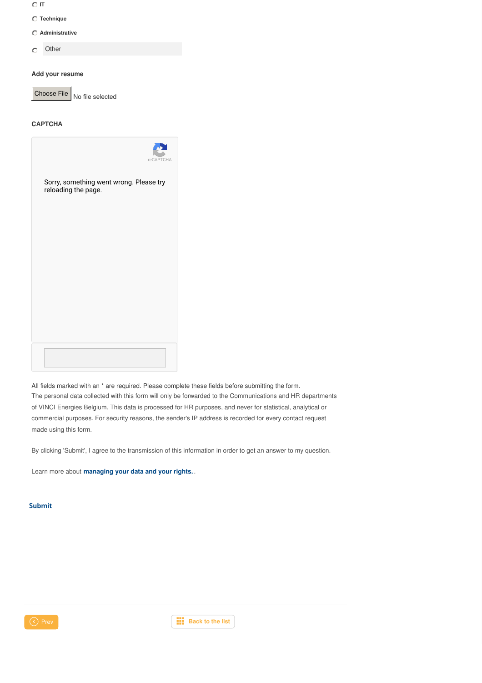- **IT**
- **Technique**
- **Administrative**
- **Other**  $\circ$

#### **Add your resume**

Choose File  $\big|_{\text{No file selected}}$ 

#### **CAPTCHA**



All fields marked with an \* are required. Please complete these fields before submitting the form. The personal data collected with this form will only be forwarded to the Communications and HR departments of VINCI Energies Belgium. This data is processed for HR purposes, and never for statistical, analytical or commercial purposes. For security reasons, the sender's IP address is recorded for every contact request made using this form.

By clicking 'Submit', I agree to the transmission of this information in order to get an answer to my question.

Learn more about **[managing](https://www.vinci-energies.be/en/privacy-policy/) your data and your rights.** .

#### Submit



**C** Prev **[Back](https://www.vinci-energies.be/en/vinci-energies-belgium/news/) to** the list